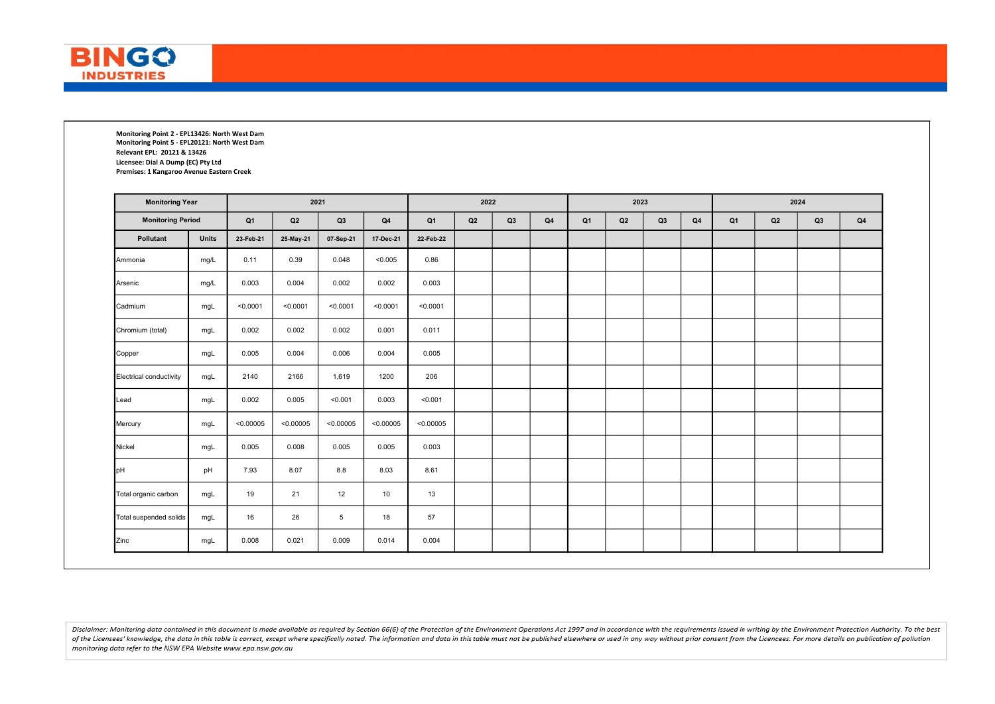

Monitoring Point 2 - EPL13426: North West Dam Monitoring Point 5 - EPL20121: North West Dam Relevant EPL: 20121 & 13426 Licensee: Dial A Dump (EC) Pty Ltd Premises: 1 Kangaroo Avenue Eastern Creek

| <b>Monitoring Year</b>   |              |                |           | 2021      |               |                | 2022 |    |                |                | 2023 |    |                | 2024                                         |  |  |  |
|--------------------------|--------------|----------------|-----------|-----------|---------------|----------------|------|----|----------------|----------------|------|----|----------------|----------------------------------------------|--|--|--|
| <b>Monitoring Period</b> |              | Q <sub>1</sub> | Q2        | Q3        | $\mathsf{Q4}$ | Q <sub>1</sub> | Q2   | Q3 | Q <sub>4</sub> | Q <sub>1</sub> | Q2   | Q3 | Q <sub>4</sub> | Q <sub>1</sub><br>Q <sub>4</sub><br>Q2<br>Q3 |  |  |  |
| Pollutant                | <b>Units</b> | 23-Feb-21      | 25-May-21 | 07-Sep-21 | 17-Dec-21     | 22-Feb-22      |      |    |                |                |      |    |                |                                              |  |  |  |
| Ammonia                  | mg/L         | 0.11           | 0.39      | 0.048     | < 0.005       | 0.86           |      |    |                |                |      |    |                |                                              |  |  |  |
| Arsenic                  | mg/L         | 0.003          | 0.004     | 0.002     | 0.002         | 0.003          |      |    |                |                |      |    |                |                                              |  |  |  |
| Cadmium                  | mgL          | < 0.0001       | < 0.0001  | < 0.0001  | < 0.0001      | < 0.0001       |      |    |                |                |      |    |                |                                              |  |  |  |
| Chromium (total)         | mgL          | 0.002          | 0.002     | 0.002     | 0.001         | 0.011          |      |    |                |                |      |    |                |                                              |  |  |  |
| Copper                   | mgL          | 0.005          | 0.004     | 0.006     | 0.004         | 0.005          |      |    |                |                |      |    |                |                                              |  |  |  |
| Electrical conductivity  | mgL          | 2140           | 2166      | 1,619     | 1200          | 206            |      |    |                |                |      |    |                |                                              |  |  |  |
| Lead                     | mgL          | 0.002          | 0.005     | < 0.001   | 0.003         | < 0.001        |      |    |                |                |      |    |                |                                              |  |  |  |
| Mercury                  | mgL          | < 0.00005      | < 0.00005 | < 0.00005 | < 0.00005     | < 0.00005      |      |    |                |                |      |    |                |                                              |  |  |  |
| Nickel                   | mgL          | 0.005          | 0.008     | 0.005     | 0.005         | 0.003          |      |    |                |                |      |    |                |                                              |  |  |  |
| pН                       | pH           | 7.93           | 8.07      | 8.8       | 8.03          | 8.61           |      |    |                |                |      |    |                |                                              |  |  |  |
| Total organic carbon     | mgL          | 19             | 21        | 12        | 10            | 13             |      |    |                |                |      |    |                |                                              |  |  |  |
| Total suspended solids   | mgL          | 16             | 26        | 5         | 18            | 57             |      |    |                |                |      |    |                |                                              |  |  |  |
| Zinc                     | mgL          | 0.008          | 0.021     | 0.009     | 0.014         | 0.004          |      |    |                |                |      |    |                |                                              |  |  |  |

Disclaimer: Monitorina data contained in this document is made available as reauired by Section 66(6) of the Protection of the Environment Operations Act 1997 and in accordance with the reauirements issued in writina by th of the Licensees' knowledge, the data in this table is correct, except where specifically noted. The information and data in this table must not be published elsewhere or used in any way without prior consent from the Lice monitoring data refer to the NSW EPA Website www.epa.nsw.gov.au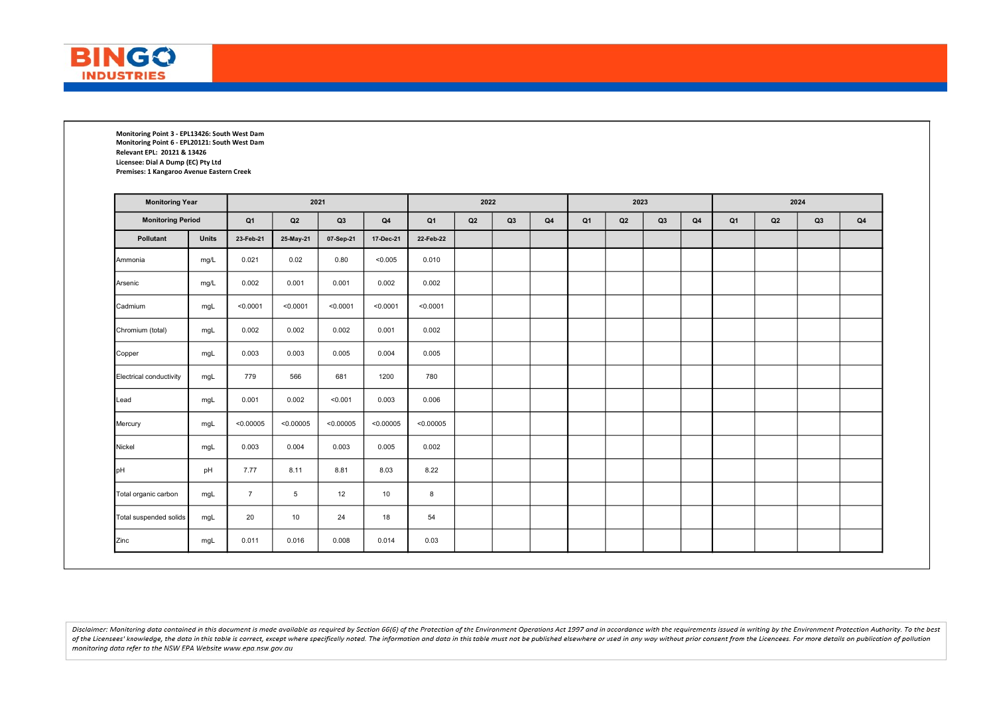

Monitoring Point 3 - EPL13426: South West Dam Monitoring Point 6 - EPL20121: South West Dam Relevant EPL: 20121 & 13426 Licensee: Dial A Dump (EC) Pty Ltd Premises: 1 Kangaroo Avenue Eastern Creek

| <b>Monitoring Year</b>   |              |                |           | 2021      |               |                | 2022 |    |                |                | 2023 |    |                | 2024                                         |  |  |  |
|--------------------------|--------------|----------------|-----------|-----------|---------------|----------------|------|----|----------------|----------------|------|----|----------------|----------------------------------------------|--|--|--|
| <b>Monitoring Period</b> |              | Q <sub>1</sub> | Q2        | Q3        | $\mathsf{Q4}$ | Q <sub>1</sub> | Q2   | Q3 | Q <sub>4</sub> | Q <sub>1</sub> | Q2   | Q3 | Q <sub>4</sub> | Q <sub>1</sub><br>Q <sub>4</sub><br>Q2<br>Q3 |  |  |  |
| Pollutant                | <b>Units</b> | 23-Feb-21      | 25-May-21 | 07-Sep-21 | 17-Dec-21     | 22-Feb-22      |      |    |                |                |      |    |                |                                              |  |  |  |
| Ammonia                  | mg/L         | 0.021          | 0.02      | 0.80      | < 0.005       | 0.010          |      |    |                |                |      |    |                |                                              |  |  |  |
| Arsenic                  | mg/L         | 0.002          | 0.001     | 0.001     | 0.002         | 0.002          |      |    |                |                |      |    |                |                                              |  |  |  |
| Cadmium                  | mgL          | < 0.0001       | < 0.0001  | < 0.0001  | < 0.0001      | < 0.0001       |      |    |                |                |      |    |                |                                              |  |  |  |
| Chromium (total)         | mgL          | 0.002          | 0.002     | 0.002     | 0.001         | 0.002          |      |    |                |                |      |    |                |                                              |  |  |  |
| Copper                   | mgL          | 0.003          | 0.003     | 0.005     | 0.004         | 0.005          |      |    |                |                |      |    |                |                                              |  |  |  |
| Electrical conductivity  | mgL          | 779            | 566       | 681       | 1200          | 780            |      |    |                |                |      |    |                |                                              |  |  |  |
| Lead                     | mgL          | 0.001          | 0.002     | < 0.001   | 0.003         | 0.006          |      |    |                |                |      |    |                |                                              |  |  |  |
| Mercury                  | mgL          | < 0.00005      | < 0.00005 | < 0.00005 | < 0.00005     | < 0.00005      |      |    |                |                |      |    |                |                                              |  |  |  |
| Nickel                   | mgL          | 0.003          | 0.004     | 0.003     | 0.005         | 0.002          |      |    |                |                |      |    |                |                                              |  |  |  |
| pН                       | pH           | 7.77           | 8.11      | 8.81      | 8.03          | 8.22           |      |    |                |                |      |    |                |                                              |  |  |  |
| Total organic carbon     | mgL          | $\overline{7}$ | 5         | 12        | 10            | 8              |      |    |                |                |      |    |                |                                              |  |  |  |
| Total suspended solids   | mgL          | 20             | 10        | 24        | 18            | 54             |      |    |                |                |      |    |                |                                              |  |  |  |
| Zinc                     | mgL          | 0.011          | 0.016     | 0.008     | 0.014         | 0.03           |      |    |                |                |      |    |                |                                              |  |  |  |

Disclaimer: Monitorina data contained in this document is made available as reauired by Section 66(6) of the Protection of the Environment Operations Act 1997 and in accordance with the reauirements issued in writina by th of the Licensees' knowledge, the data in this table is correct, except where specifically noted. The information and data in this table must not be published elsewhere or used in any way without prior consent from the Lice monitoring data refer to the NSW EPA Website www.epa.nsw.gov.au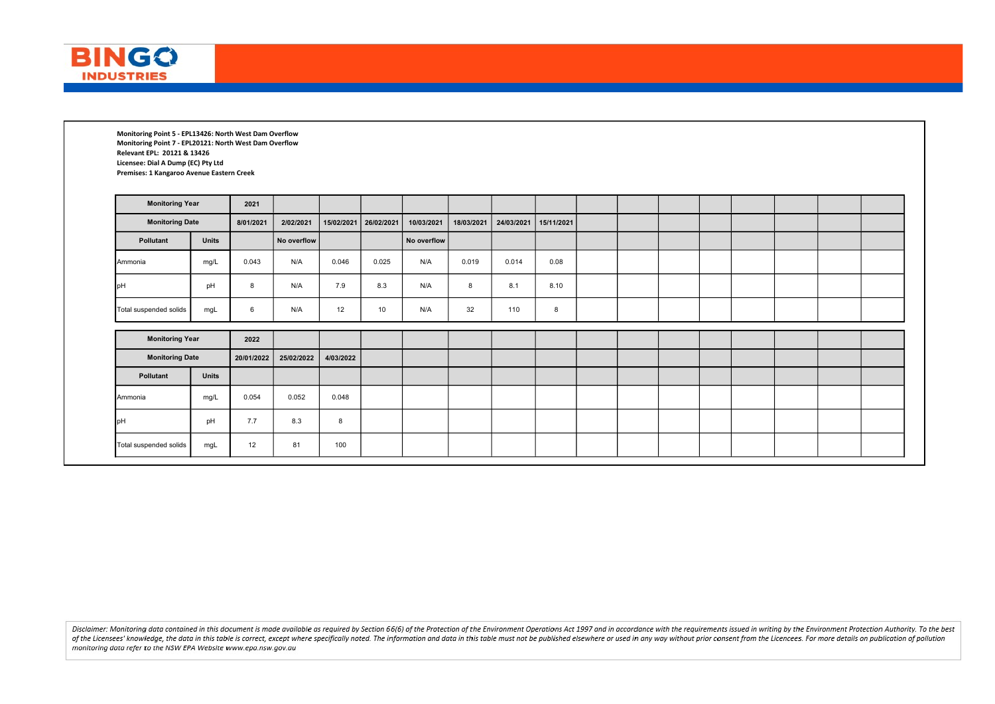

Monitoring Point 5 - EPL13426: North West Dam Overflow Monitoring Point 7 - EPL20121: North West Dam Overflow Relevant EPL: 20121 & 13426 Licensee: Dial A Dump (EC) Pty Ltd Premises: 1 Kangaroo Avenue Eastern Creek

| <b>Monitoring Year</b> |              | 2021       |             |           |                       |             |            |            |            |  |  |  |  |
|------------------------|--------------|------------|-------------|-----------|-----------------------|-------------|------------|------------|------------|--|--|--|--|
| <b>Monitoring Date</b> |              | 8/01/2021  | 2/02/2021   |           | 15/02/2021 26/02/2021 | 10/03/2021  | 18/03/2021 | 24/03/2021 | 15/11/2021 |  |  |  |  |
| Pollutant              | <b>Units</b> |            | No overflow |           |                       | No overflow |            |            |            |  |  |  |  |
| Ammonia                | mg/L         | 0.043      | N/A         | 0.046     | 0.025                 | N/A         | 0.019      | 0.014      | 0.08       |  |  |  |  |
| <b>I</b> pH            | pH           | 8          | N/A         | 7.9       | 8.3                   | N/A         | 8          | 8.1        | 8.10       |  |  |  |  |
| Total suspended solids | mgL          | 6          | N/A         | 12        | 10                    | N/A         | 32         | 110        | 8          |  |  |  |  |
| <b>Monitoring Year</b> |              | 2022       |             |           |                       |             |            |            |            |  |  |  |  |
| <b>Monitoring Date</b> |              | 20/01/2022 | 25/02/2022  | 4/03/2022 |                       |             |            |            |            |  |  |  |  |
| Pollutant              | <b>Units</b> |            |             |           |                       |             |            |            |            |  |  |  |  |
|                        | mg/L         | 0.054      | 0.052       | 0.048     |                       |             |            |            |            |  |  |  |  |
| Ammonia                |              |            |             |           |                       |             |            |            |            |  |  |  |  |
| <b>I</b> pH            | pH           | 7.7        | 8.3         | 8         |                       |             |            |            |            |  |  |  |  |

Disclaimer: Monitoring data contained in this document is made available as required by Section 66(6) of the Protection of the Environment Operations Act 1997 and in accordance with the requirements issued in writing by th of the Licensees' knowledge, the data in this table is correct, except where specifically noted. The information and data in this table must not be published elsewhere or used in any way without prior consent from the Lice monitoring data refer to the NSW EPA Website www.epa.nsw.gov.au